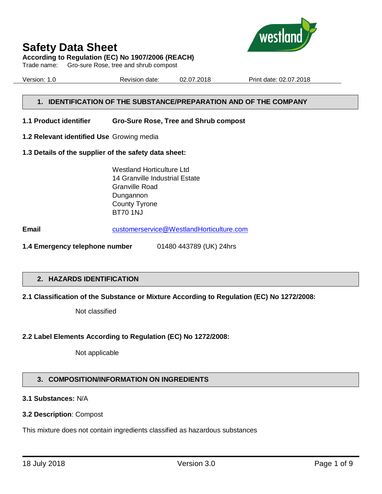

**According to Regulation (EC) No 1907/2006 (REACH)**

Trade name: Gro-sure Rose, tree and shrub compost

Version: 1.0 Revision date: 02.07.2018 Print date: 02.07.2018

## **1. IDENTIFICATION OF THE SUBSTANCE/PREPARATION AND OF THE COMPANY**

**1.1 Product identifier Gro-Sure Rose, Tree and Shrub compost**

- **1.2 Relevant identified Use** Growing media
- **1.3 Details of the supplier of the safety data sheet:**

Westland Horticulture Ltd 14 Granville Industrial Estate Granville Road Dungannon County Tyrone BT70 1NJ

**Email** [customerservice@WestlandHorticulture.com](mailto:customerservice@WestlandHorticulture.com)

**1.4 Emergency telephone number** 01480 443789 (UK) 24hrs

## **2. HAZARDS IDENTIFICATION**

## **2.1 Classification of the Substance or Mixture According to Regulation (EC) No 1272/2008:**

Not classified

## **2.2 Label Elements According to Regulation (EC) No 1272/2008:**

Not applicable

## **3. COMPOSITION/INFORMATION ON INGREDIENTS**

## **3.1 Substances:** N/A

### **3.2 Description**: Compost

This mixture does not contain ingredients classified as hazardous substances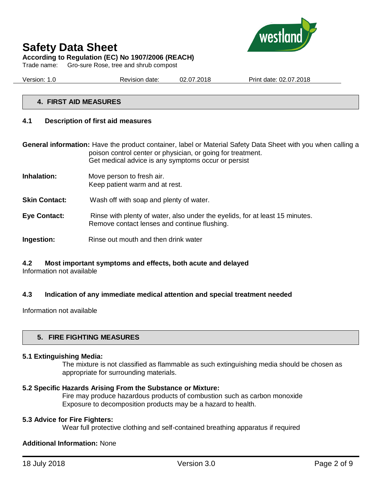

**According to Regulation (EC) No 1907/2006 (REACH)**

Trade name: Gro-sure Rose, tree and shrub compost

Version: 1.0 Revision date: 02.07.2018 Print date: 02.07.2018

### **4. FIRST AID MEASURES**

### **4.1 Description of first aid measures**

**General information:** Have the product container, label or Material Safety Data Sheet with you when calling a poison control center or physician, or going for treatment. Get medical advice is any symptoms occur or persist

- **Inhalation:** Move person to fresh air. Keep patient warm and at rest.
- **Skin Contact:** Wash off with soap and plenty of water.
- **Eye Contact:** Rinse with plenty of water, also under the eyelids, for at least 15 minutes. Remove contact lenses and continue flushing.
- **Ingestion:** Rinse out mouth and then drink water

## **4.2 Most important symptoms and effects, both acute and delayed**

Information not available

## **4.3 Indication of any immediate medical attention and special treatment needed**

Information not available

## **5. FIRE FIGHTING MEASURES**

### **5.1 Extinguishing Media:**

The mixture is not classified as flammable as such extinguishing media should be chosen as appropriate for surrounding materials.

### **5.2 Specific Hazards Arising From the Substance or Mixture:**

Fire may produce hazardous products of combustion such as carbon monoxide Exposure to decomposition products may be a hazard to health.

### **5.3 Advice for Fire Fighters:**

Wear full protective clothing and self-contained breathing apparatus if required

### **Additional Information:** None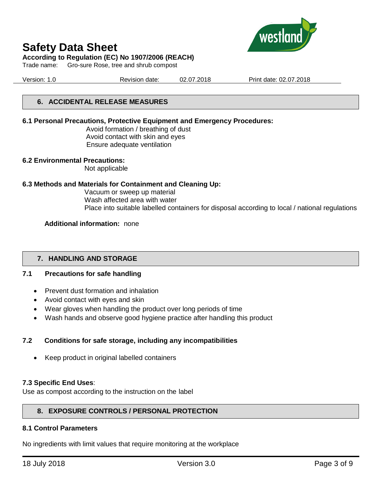

Trade name: Gro-sure Rose, tree and shrub compost



Version: 1.0 Revision date: 02.07.2018 Print date: 02.07.2018

## **6. ACCIDENTAL RELEASE MEASURES**

## **6.1 Personal Precautions, Protective Equipment and Emergency Procedures:**

Avoid formation / breathing of dust Avoid contact with skin and eyes Ensure adequate ventilation

### **6.2 Environmental Precautions:**

Not applicable

### **6.3 Methods and Materials for Containment and Cleaning Up:**

Vacuum or sweep up material Wash affected area with water Place into suitable labelled containers for disposal according to local / national regulations

### **Additional information:** none

## **7. HANDLING AND STORAGE**

## **7.1 Precautions for safe handling**

- Prevent dust formation and inhalation
- Avoid contact with eyes and skin
- Wear gloves when handling the product over long periods of time
- Wash hands and observe good hygiene practice after handling this product

## **7.2 Conditions for safe storage, including any incompatibilities**

• Keep product in original labelled containers

### **7.3 Specific End Uses**:

Use as compost according to the instruction on the label

## **8. EXPOSURE CONTROLS / PERSONAL PROTECTION**

### **8.1 Control Parameters**

No ingredients with limit values that require monitoring at the workplace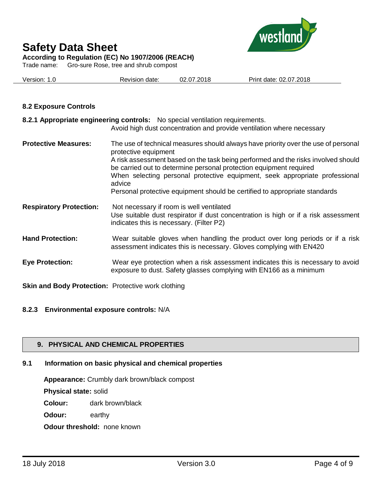

**According to Regulation (EC) No 1907/2006 (REACH)**

Trade name: Gro-sure Rose, tree and shrub compost

| Version: 1.0 | Revision date: | 02.07.2018 | Print date: 02.07.2018 |
|--------------|----------------|------------|------------------------|
|              |                |            |                        |

## **8.2 Exposure Controls**

|                                | 8.2.1 Appropriate engineering controls: No special ventilation requirements.<br>Avoid high dust concentration and provide ventilation where necessary                                                                                                                                                                                                                                                                                        |
|--------------------------------|----------------------------------------------------------------------------------------------------------------------------------------------------------------------------------------------------------------------------------------------------------------------------------------------------------------------------------------------------------------------------------------------------------------------------------------------|
| <b>Protective Measures:</b>    | The use of technical measures should always have priority over the use of personal<br>protective equipment<br>A risk assessment based on the task being performed and the risks involved should<br>be carried out to determine personal protection equipment required<br>When selecting personal protective equipment, seek appropriate professional<br>advice<br>Personal protective equipment should be certified to appropriate standards |
| <b>Respiratory Protection:</b> | Not necessary if room is well ventilated<br>Use suitable dust respirator if dust concentration is high or if a risk assessment<br>indicates this is necessary. (Filter P2)                                                                                                                                                                                                                                                                   |
| <b>Hand Protection:</b>        | Wear suitable gloves when handling the product over long periods or if a risk<br>assessment indicates this is necessary. Gloves complying with EN420                                                                                                                                                                                                                                                                                         |
| <b>Eye Protection:</b>         | Wear eye protection when a risk assessment indicates this is necessary to avoid<br>exposure to dust. Safety glasses complying with EN166 as a minimum                                                                                                                                                                                                                                                                                        |

**Skin and Body Protection:** Protective work clothing

## **8.2.3 Environmental exposure controls:** N/A

## **9. PHYSICAL AND CHEMICAL PROPERTIES**

## **9.1 Information on basic physical and chemical properties**

**Appearance:** Crumbly dark brown/black compost

**Physical state:** solid

**Colour:** dark brown/black

**Odour:** earthy

**Odour threshold: none known**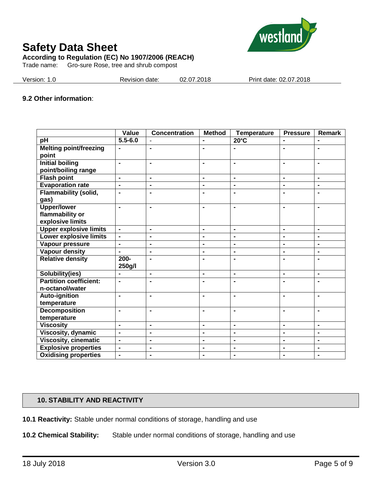

**According to Regulation (EC) No 1907/2006 (REACH)**

Trade name: Gro-sure Rose, tree and shrub compost

| Version: 1.0 | Revision date: | 02.07.2018 | Print date: 02.07.2018 |
|--------------|----------------|------------|------------------------|
|              |                |            |                        |

## **9.2 Other information**:

|                                               | Value                        | <b>Concentration</b> | <b>Method</b>  | <b>Temperature</b>           | <b>Pressure</b> | <b>Remark</b>  |
|-----------------------------------------------|------------------------------|----------------------|----------------|------------------------------|-----------------|----------------|
| $p\overline{H}$                               | $5.5 - 6.0$                  |                      |                | $20^{\circ}$ C               | $\blacksquare$  |                |
| <b>Melting point/freezing</b><br>point        | $\blacksquare$               | $\blacksquare$       | $\blacksquare$ |                              | $\blacksquare$  | $\blacksquare$ |
| <b>Initial boiling</b><br>point/boiling range | $\blacksquare$               | $\blacksquare$       | $\blacksquare$ | $\blacksquare$               | $\blacksquare$  | $\blacksquare$ |
| <b>Flash point</b>                            | $\blacksquare$               | $\blacksquare$       | $\blacksquare$ | $\blacksquare$               | $\blacksquare$  | $\blacksquare$ |
| <b>Evaporation rate</b>                       | $\blacksquare$               | $\blacksquare$       | $\blacksquare$ | $\blacksquare$               | $\blacksquare$  | $\blacksquare$ |
| <b>Flammability (solid,</b><br>gas)           | $\blacksquare$               | $\blacksquare$       | $\blacksquare$ |                              |                 | $\blacksquare$ |
| <b>Upper/lower</b>                            | $\blacksquare$               | $\blacksquare$       | $\blacksquare$ | $\blacksquare$               | $\blacksquare$  | $\blacksquare$ |
| flammability or                               |                              |                      |                |                              |                 |                |
| explosive limits                              |                              |                      |                |                              |                 |                |
| <b>Upper explosive limits</b>                 | $\blacksquare$               | $\blacksquare$       | $\blacksquare$ | $\blacksquare$               | $\blacksquare$  | $\blacksquare$ |
| <b>Lower explosive limits</b>                 | $\blacksquare$               | $\blacksquare$       | $\blacksquare$ | $\blacksquare$               | $\blacksquare$  | $\blacksquare$ |
| Vapour pressure                               | $\blacksquare$               | $\blacksquare$       | $\blacksquare$ | $\blacksquare$               | $\blacksquare$  | $\blacksquare$ |
| <b>Vapour density</b>                         | $\overline{a}$               | $\blacksquare$       | $\blacksquare$ | $\blacksquare$               | $\blacksquare$  | $\blacksquare$ |
| <b>Relative density</b>                       | $200 -$<br>250g/l            | $\blacksquare$       | $\blacksquare$ | $\blacksquare$               | $\blacksquare$  | $\blacksquare$ |
| Solubility(ies)                               |                              | $\blacksquare$       | $\blacksquare$ | $\blacksquare$               | $\blacksquare$  | $\blacksquare$ |
| <b>Partition coefficient:</b>                 | $\blacksquare$               | $\blacksquare$       | $\blacksquare$ | $\blacksquare$               | $\blacksquare$  | $\blacksquare$ |
| n-octanol/water                               |                              |                      |                |                              |                 |                |
| <b>Auto-ignition</b>                          | $\blacksquare$               | $\blacksquare$       | $\blacksquare$ | $\blacksquare$               | $\blacksquare$  | $\blacksquare$ |
| temperature                                   |                              |                      |                |                              |                 |                |
| <b>Decomposition</b>                          | $\blacksquare$               | $\blacksquare$       | $\blacksquare$ | $\blacksquare$               | $\blacksquare$  | $\blacksquare$ |
| temperature                                   |                              |                      |                |                              |                 |                |
| <b>Viscosity</b>                              | $\overline{a}$               | $\blacksquare$       | $\blacksquare$ | $\overline{a}$               | $\overline{a}$  | $\overline{a}$ |
| <b>Viscosity, dynamic</b>                     | $\blacksquare$               | $\blacksquare$       | $\blacksquare$ | $\blacksquare$               | $\blacksquare$  | $\blacksquare$ |
| <b>Viscosity, cinematic</b>                   | $\qquad \qquad \blacksquare$ | $\blacksquare$       | $\blacksquare$ | $\blacksquare$               | $\blacksquare$  | $\blacksquare$ |
| <b>Explosive properties</b>                   | $\blacksquare$               | $\blacksquare$       | $\blacksquare$ | $\blacksquare$               | $\blacksquare$  | $\blacksquare$ |
| <b>Oxidising properties</b>                   | $\blacksquare$               | $\blacksquare$       | $\blacksquare$ | $\qquad \qquad \blacksquare$ | $\blacksquare$  | $\blacksquare$ |

## **10. STABILITY AND REACTIVITY**

**10.1 Reactivity:** Stable under normal conditions of storage, handling and use

**10.2 Chemical Stability:** Stable under normal conditions of storage, handling and use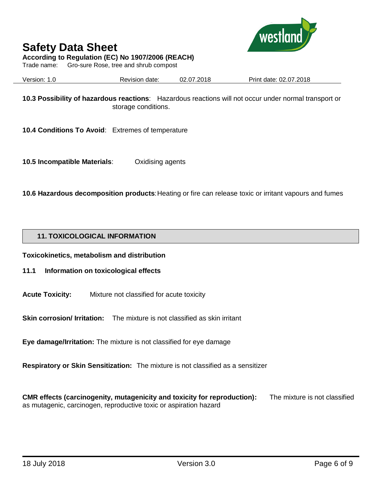

**According to Regulation (EC) No 1907/2006 (REACH)**

Trade name: Gro-sure Rose, tree and shrub compost

Version: 1.0 Revision date: 02.07.2018 Print date: 02.07.2018

**10.3 Possibility of hazardous reactions**: Hazardous reactions will not occur under normal transport or storage conditions.

**10.4 Conditions To Avoid**: Extremes of temperature

**10.5 Incompatible Materials**: Oxidising agents

**10.6 Hazardous decomposition products**: Heating or fire can release toxic or irritant vapours and fumes

## **11. TOXICOLOGICAL INFORMATION**

**Toxicokinetics, metabolism and distribution**

## **11.1 Information on toxicological effects**

**Acute Toxicity:** Mixture not classified for acute toxicity

**Skin corrosion/ Irritation:** The mixture is not classified as skin irritant

**Eye damage/Irritation:** The mixture is not classified for eye damage

**Respiratory or Skin Sensitization:** The mixture is not classified as a sensitizer

**CMR effects (carcinogenity, mutagenicity and toxicity for reproduction):** The mixture is not classified as mutagenic, carcinogen, reproductive toxic or aspiration hazard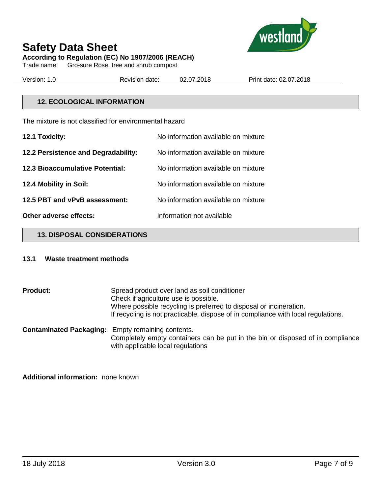



**According to Regulation (EC) No 1907/2006 (REACH)**

Trade name: Gro-sure Rose, tree and shrub compost

Version: 1.0 Revision date: 02.07.2018 Print date: 02.07.2018

## **12. ECOLOGICAL INFORMATION**

The mixture is not classified for environmental hazard

| 12.1 Toxicity:                         | No information available on mixture |
|----------------------------------------|-------------------------------------|
| 12.2 Persistence and Degradability:    | No information available on mixture |
| <b>12.3 Bioaccumulative Potential:</b> | No information available on mixture |
| 12.4 Mobility in Soil:                 | No information available on mixture |
| 12.5 PBT and vPvB assessment:          | No information available on mixture |
| Other adverse effects:                 | Information not available           |

**13. DISPOSAL CONSIDERATIONS**

### **13.1 Waste treatment methods**

**Product:** Spread product over land as soil conditioner Check if agriculture use is possible. Where possible recycling is preferred to disposal or incineration. If recycling is not practicable, dispose of in compliance with local regulations. **Contaminated Packaging:** Empty remaining contents.

Completely empty containers can be put in the bin or disposed of in compliance with applicable local regulations

**Additional information:** none known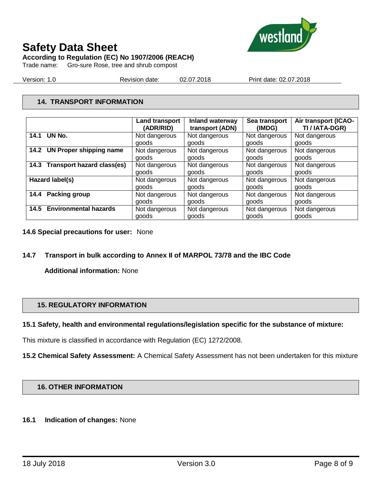

**According to Regulation (EC) No 1907/2006 (REACH)**

Trade name: Gro-sure Rose, tree and shrub compost

Version: 1.0 Revision date: 02.07.2018 Print date: 02.07.2018

## **14. TRANSPORT INFORMATION**

|                                 | <b>Land transport</b> | Inland waterway | Sea transport | Air transport (ICAO- |
|---------------------------------|-----------------------|-----------------|---------------|----------------------|
|                                 | (ADR/RID)             | transport (ADN) | (IMDG)        | TI / IATA-DGR)       |
| UN No.                          | Not dangerous         | Not dangerous   | Not dangerous | Not dangerous        |
| 14.1                            | goods                 | goods           | goods         | goods                |
| 14.2 UN Proper shipping name    | Not dangerous         | Not dangerous   | Not dangerous | Not dangerous        |
|                                 | goods                 | goods           | goods         | goods                |
| 14.3 Transport hazard class(es) | Not dangerous         | Not dangerous   | Not dangerous | Not dangerous        |
|                                 | goods                 | goods           | goods         | goods                |
| Hazard label(s)                 | Not dangerous         | Not dangerous   | Not dangerous | Not dangerous        |
|                                 | goods                 | goods           | goods         | goods                |
| 14.4 Packing group              | Not dangerous         | Not dangerous   | Not dangerous | Not dangerous        |
|                                 | goods                 | goods           | goods         | goods                |
| 14.5 Environmental hazards      | Not dangerous         | Not dangerous   | Not dangerous | Not dangerous        |
|                                 | goods                 | goods           | goods         | goods                |

**14.6 Special precautions for user:** None

## **14.7 Transport in bulk according to Annex II of MARPOL 73/78 and the IBC Code**

**Additional information:** None

## **15. REGULATORY INFORMATION**

## **15.1 Safety, health and environmental regulations/legislation specific for the substance of mixture:**

This mixture is classified in accordance with Regulation (EC) 1272/2008.

**15.2 Chemical Safety Assessment:** A Chemical Safety Assessment has not been undertaken for this mixture

### **16. OTHER INFORMATION**

### **16.1 Indication of changes:** None